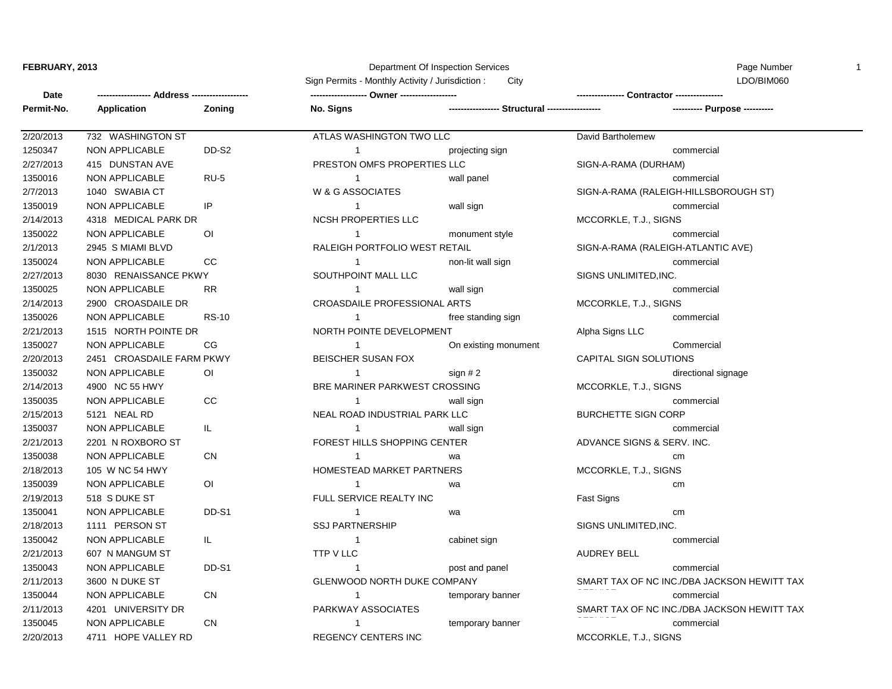## **FEBRUARY, 2013 Department Of Inspection Services** Page Number 1 2014 12:30 Page Number 1

Sign Permits - Monthly Activity / Jurisdiction : City City Communication : City Communication : City Communication : City Communication : City Communication : City Communication : City Communication : City Communication :

| Date       |                           |                |                                      |                                                 |                                        |  |
|------------|---------------------------|----------------|--------------------------------------|-------------------------------------------------|----------------------------------------|--|
| Permit-No. | Application               | Zoning         | No. Signs                            | ----------------- Structural ------------------ | ---------- Purpose ----------          |  |
| 2/20/2013  | 732 WASHINGTON ST         |                | ATLAS WASHINGTON TWO LLC             |                                                 | David Bartholemew                      |  |
| 1250347    | <b>NON APPLICABLE</b>     | DD-S2          | $\mathbf{1}$                         | projecting sign                                 | commercial                             |  |
| 2/27/2013  | 415 DUNSTAN AVE           |                | PRESTON OMFS PROPERTIES LLC          |                                                 | SIGN-A-RAMA (DURHAM)                   |  |
| 1350016    | <b>NON APPLICABLE</b>     | $RU-5$         | $\mathbf{1}$                         | wall panel                                      | commercial                             |  |
| 2/7/2013   | 1040 SWABIA CT            |                | W & G ASSOCIATES                     |                                                 | SIGN-A-RAMA (RALEIGH-HILLSBOROUGH ST)  |  |
| 1350019    | <b>NON APPLICABLE</b>     | IP             | $\mathbf{1}$                         | wall sign                                       | commercial                             |  |
| 2/14/2013  | 4318 MEDICAL PARK DR      |                | NCSH PROPERTIES LLC                  |                                                 | MCCORKLE, T.J., SIGNS                  |  |
| 1350022    | <b>NON APPLICABLE</b>     | O <sub>l</sub> | $\mathbf{1}$                         | monument style                                  | commercial                             |  |
| 2/1/2013   | 2945 S MIAMI BLVD         |                | RALEIGH PORTFOLIO WEST RETAIL        |                                                 | SIGN-A-RAMA (RALEIGH-ATLANTIC AVE)     |  |
| 1350024    | <b>NON APPLICABLE</b>     | <b>CC</b>      | $\mathbf{1}$                         | non-lit wall sign                               | commercial                             |  |
| 2/27/2013  | 8030 RENAISSANCE PKWY     |                | SOUTHPOINT MALL LLC                  |                                                 | SIGNS UNLIMITED, INC.                  |  |
| 1350025    | <b>NON APPLICABLE</b>     | <b>RR</b>      | $\mathbf{1}$                         | wall sign                                       | commercial                             |  |
| 2/14/2013  | 2900 CROASDAILE DR        |                | CROASDAILE PROFESSIONAL ARTS         |                                                 | MCCORKLE, T.J., SIGNS                  |  |
| 1350026    | NON APPLICABLE            | <b>RS-10</b>   | $\mathbf{1}$                         | free standing sign                              | commercial                             |  |
| 2/21/2013  | 1515 NORTH POINTE DR      |                | NORTH POINTE DEVELOPMENT             |                                                 | Alpha Signs LLC                        |  |
| 1350027    | NON APPLICABLE            | CG             | $\mathbf{1}$                         | On existing monument                            | Commercial                             |  |
| 2/20/2013  | 2451 CROASDAILE FARM PKWY |                | BEISCHER SUSAN FOX                   |                                                 | CAPITAL SIGN SOLUTIONS                 |  |
| 1350032    | <b>NON APPLICABLE</b>     | O <sub>1</sub> | $\mathbf{1}$                         | sign $# 2$                                      | directional signage                    |  |
| 2/14/2013  | 4900 NC 55 HWY            |                | <b>BRE MARINER PARKWEST CROSSING</b> |                                                 | MCCORKLE, T.J., SIGNS                  |  |
| 1350035    | <b>NON APPLICABLE</b>     | CC             | $\mathbf{1}$                         | wall sign                                       | commercial                             |  |
| 2/15/2013  | 5121 NEAL RD              |                | NEAL ROAD INDUSTRIAL PARK LLC        |                                                 | <b>BURCHETTE SIGN CORP</b>             |  |
| 1350037    | <b>NON APPLICABLE</b>     | IL.            | $\mathbf{1}$                         | wall sign                                       | commercial                             |  |
| 2/21/2013  | 2201 N ROXBORO ST         |                | FOREST HILLS SHOPPING CENTER         |                                                 | ADVANCE SIGNS & SERV. INC.             |  |
| 1350038    | <b>NON APPLICABLE</b>     | <b>CN</b>      | $\mathbf{1}$                         | wa                                              | cm                                     |  |
| 2/18/2013  | 105 W NC 54 HWY           |                | HOMESTEAD MARKET PARTNERS            |                                                 | MCCORKLE, T.J., SIGNS                  |  |
| 1350039    | <b>NON APPLICABLE</b>     | O <sub>1</sub> | $\mathbf{1}$                         | wa                                              | cm                                     |  |
| 2/19/2013  | 518 S DUKE ST             |                | FULL SERVICE REALTY INC              |                                                 | Fast Signs                             |  |
| 1350041    | <b>NON APPLICABLE</b>     | DD-S1          | $\mathbf{1}$                         | wa                                              | cm                                     |  |
| 2/18/2013  | 1111 PERSON ST            |                | <b>SSJ PARTNERSHIP</b>               |                                                 | SIGNS UNLIMITED, INC.                  |  |
| 1350042    | <b>NON APPLICABLE</b>     | IL.            | $\mathbf{1}$                         | cabinet sign                                    | commercial                             |  |
| 2/21/2013  | 607 N MANGUM ST           |                | TTP V LLC                            |                                                 | <b>AUDREY BELL</b>                     |  |
| 1350043    | NON APPLICABLE            | DD-S1          | $\mathbf{1}$                         | post and panel                                  | commercial                             |  |
| 2/11/2013  | 3600 N DUKE ST            |                | GLENWOOD NORTH DUKE COMPANY          |                                                 | SMART TAX OF NC INC./DBA JACKSON HEWIT |  |
| 1350044    | <b>NON APPLICABLE</b>     | CN             | $\mathbf{1}$                         | temporary banner                                | commercial                             |  |
| 2/11/2013  | 4201 UNIVERSITY DR        |                | PARKWAY ASSOCIATES                   |                                                 | SMART TAX OF NC INC./DBA JACKSON HEWIT |  |
| 1350045    | <b>NON APPLICABLE</b>     | <b>CN</b>      | $\mathbf{1}$                         | temporary banner                                | commercial                             |  |
| 2/20/2013  | 4711 HOPE VALLEY RD       |                | <b>REGENCY CENTERS INC</b>           |                                                 | MCCORKLE, T.J., SIGNS                  |  |

20-27-2014 (DURHAM) 3N-A-RAMA (RALEIGH-HILLSBOROUGH ST) CORKLE, T.J., SIGNS 3N-A-RAMA (RALEIGH-ATLANTIC AVE) **2NS UNLIMITED,INC.** CORKLE, T.J., SIGNS PITAL SIGN SOLUTIONS directional signage CORKLE, T.J., SIGNS RCHETTE SIGN CORP VANCE SIGNS & SERV. INC. CORKLE, T.J., SIGNS 3NS UNLIMITED,INC. ART TAX OF NC INC./DBA JACKSON HEWITT TAX<br>------ART TAX OF NC INC./DBA JACKSON HEWITT TAX